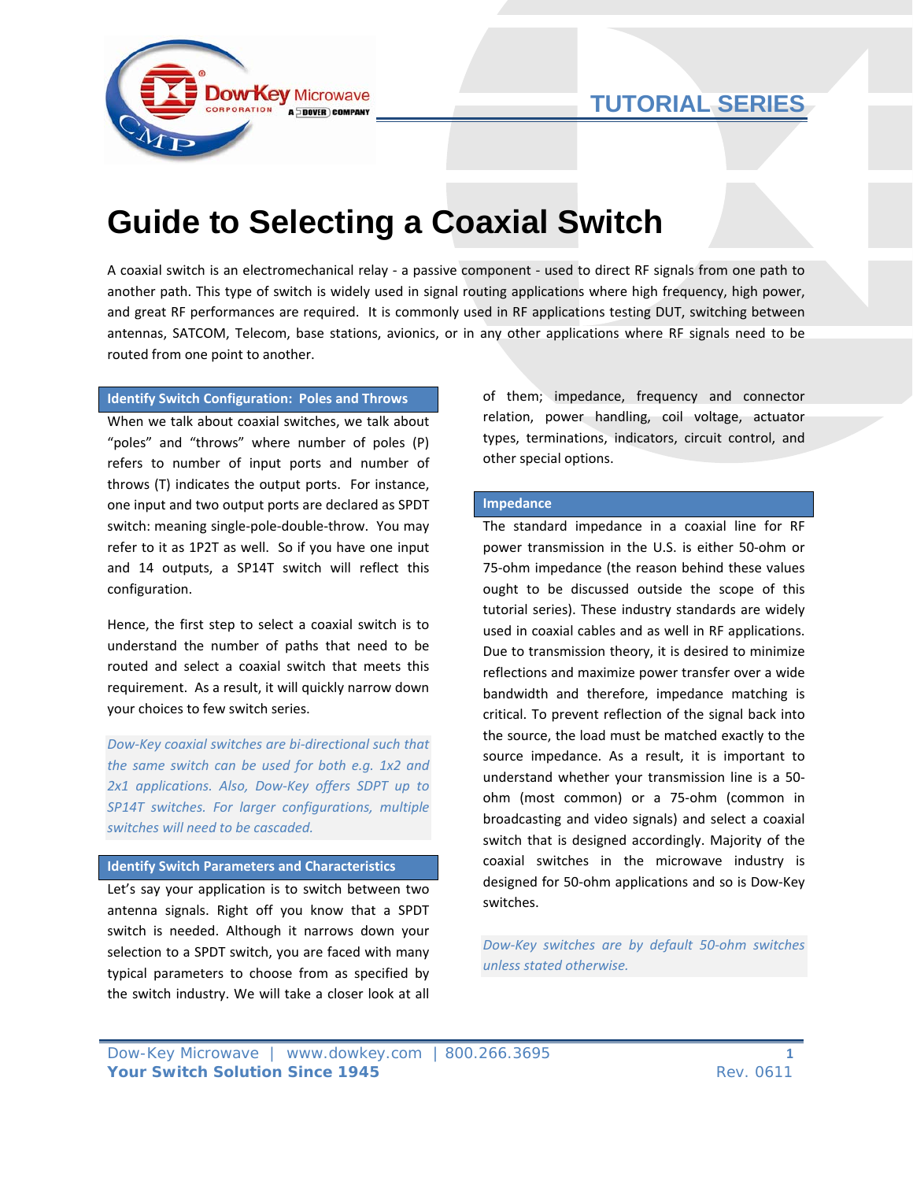



# **Guide to Selecting a Coaxial Switch**

A coaxial switch is an electromechanical relay ‐ a passive component ‐ used to direct RF signals from one path to another path. This type of switch is widely used in signal routing applications where high frequency, high power, and great RF performances are required. It is commonly used in RF applications testing DUT, switching between antennas, SATCOM, Telecom, base stations, avionics, or in any other applications where RF signals need to be routed from one point to another.

### **Identify Switch Configuration: Poles and Throws**

When we talk about coaxial switches, we talk about "poles" and "throws" where number of poles (P) refers to number of input ports and number of throws (T) indicates the output ports. For instance, one input and two output ports are declared as SPDT switch: meaning single‐pole‐double‐throw. You may refer to it as 1P2T as well. So if you have one input and 14 outputs, a SP14T switch will reflect this configuration.

Hence, the first step to select a coaxial switch is to understand the number of paths that need to be routed and select a coaxial switch that meets this requirement. As a result, it will quickly narrow down your choices to few switch series.

*Dow‐Key coaxial switches are bi‐directional such that the same switch can be used for both e.g. 1x2 and 2x1 applications. Also, Dow‐Key offers SDPT up to SP14T switches. For larger configurations, multiple switches will need to be cascaded.*

### **Identify Switch Parameters and Characteristics**

Let's say your application is to switch between two antenna signals. Right off you know that a SPDT switch is needed. Although it narrows down your selection to a SPDT switch, you are faced with many typical parameters to choose from as specified by the switch industry. We will take a closer look at all

of them; impedance, frequency and connector relation, power handling, coil voltage, actuator types, terminations, indicators, circuit control, and other special options.

#### **Impedance**

The standard impedance in a coaxial line for RF power transmission in the U.S. is either 50‐ohm or 75‐ohm impedance (the reason behind these values ought to be discussed outside the scope of this tutorial series). These industry standards are widely used in coaxial cables and as well in RF applications. Due to transmission theory, it is desired to minimize reflections and maximize power transfer over a wide bandwidth and therefore, impedance matching is critical. To prevent reflection of the signal back into the source, the load must be matched exactly to the source impedance. As a result, it is important to understand whether your transmission line is a 50‐ ohm (most common) or a 75‐ohm (common in broadcasting and video signals) and select a coaxial switch that is designed accordingly. Majority of the coaxial switches in the microwave industry is designed for 50‐ohm applications and so is Dow‐Key switches.

*Dow‐Key switches are by default 50‐ohm switches unless stated otherwise.*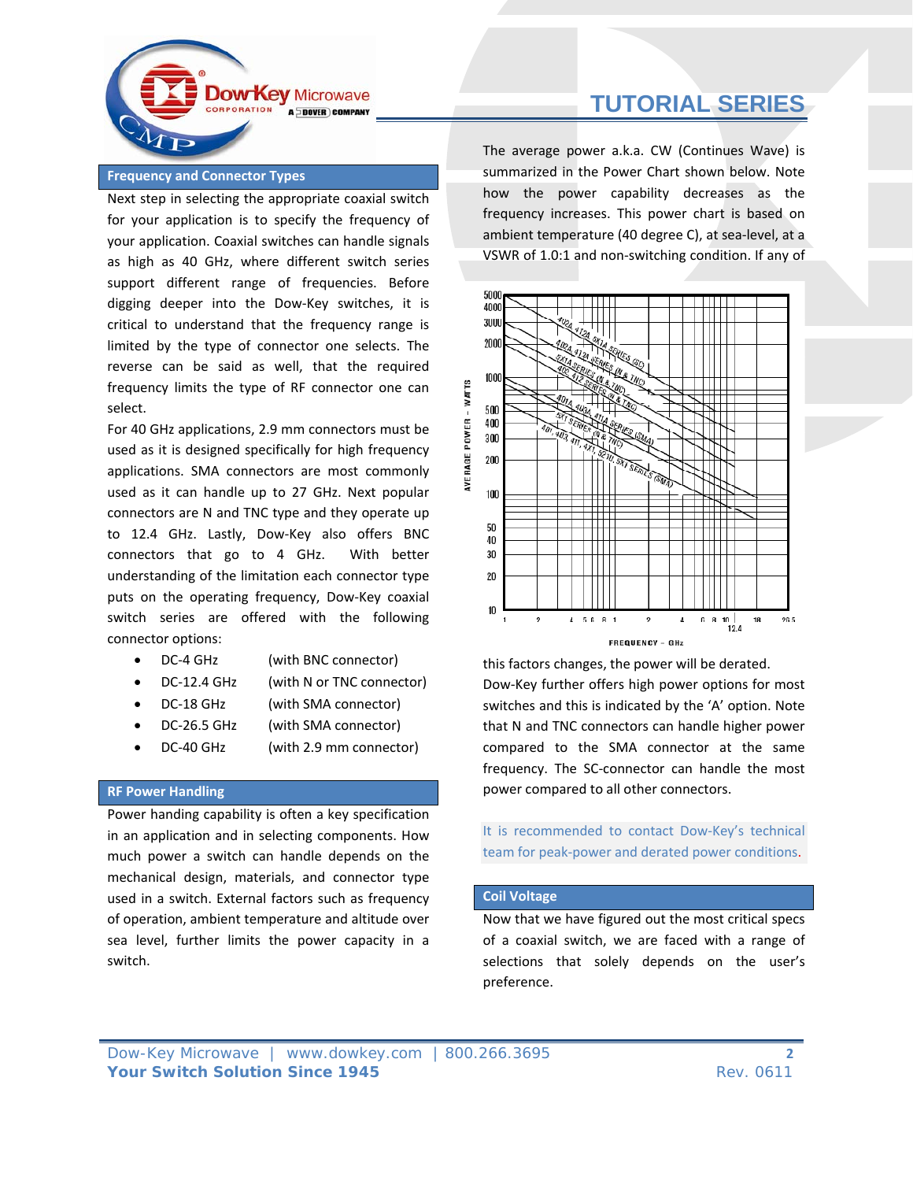

## **Frequency and Connector Types**

Next step in selecting the appropriate coaxial switch for your application is to specify the frequency of your application. Coaxial switches can handle signals as high as 40 GHz, where different switch series support different range of frequencies. Before digging deeper into the Dow‐Key switches, it is critical to understand that the frequency range is limited by the type of connector one selects. The reverse can be said as well, that the required frequency limits the type of RF connector one can select.

For 40 GHz applications, 2.9 mm connectors must be used as it is designed specifically for high frequency applications. SMA connectors are most commonly used as it can handle up to 27 GHz. Next popular connectors are N and TNC type and they operate up to 12.4 GHz. Lastly, Dow‐Key also offers BNC connectors that go to 4 GHz. With better understanding of the limitation each connector type puts on the operating frequency, Dow‐Key coaxial switch series are offered with the following connector options:

- DC-4 GHz (with BNC connector)
	-
	- DC-12.4 GHz (with N or TNC connector)
- DC-18 GHz (with SMA connector)
- DC-26.5 GHz (with SMA connector)
- DC-40 GHz (with 2.9 mm connector)

### **RF Power Handling**

Power handing capability is often a key specification in an application and in selecting components. How much power a switch can handle depends on the mechanical design, materials, and connector type used in a switch. External factors such as frequency of operation, ambient temperature and altitude over sea level, further limits the power capacity in a switch.

The average power a.k.a. CW (Continues Wave) is summarized in the Power Chart shown below. Note how the power capability decreases as the frequency increases. This power chart is based on ambient temperature (40 degree C), at sea‐level, at a VSWR of 1.0:1 and non‐switching condition. If any of



this factors changes, the power will be derated. Dow‐Key further offers high power options for most switches and this is indicated by the 'A' option. Note that N and TNC connectors can handle higher power compared to the SMA connector at the same frequency. The SC‐connector can handle the most power compared to all other connectors.

It is recommended to contact Dow‐Key's technical team for peak‐power and derated power conditions.

### **Coil Voltage**

Now that we have figured out the most critical specs of a coaxial switch, we are faced with a range of selections that solely depends on the user's preference.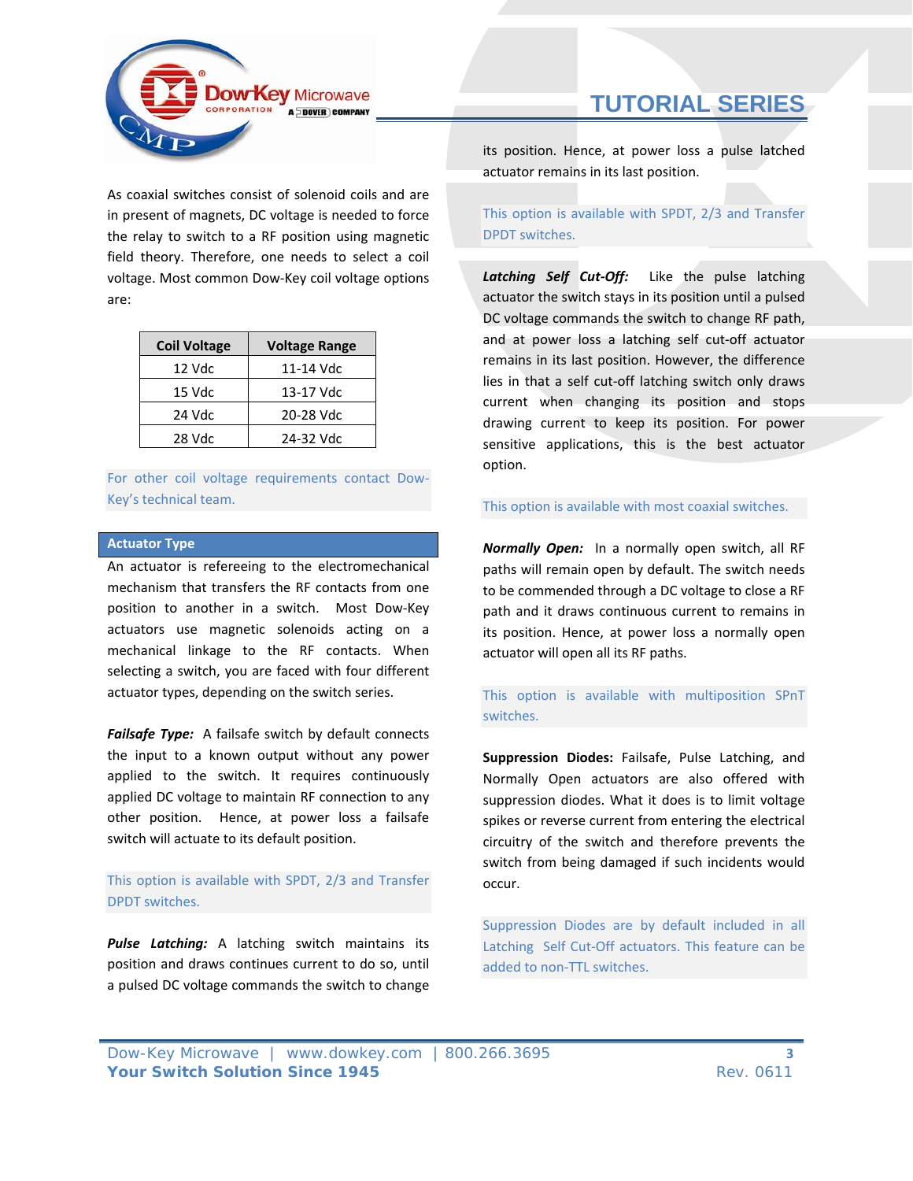

As coaxial switches consist of solenoid coils and are in present of magnets, DC voltage is needed to force the relay to switch to a RF position using magnetic field theory. Therefore, one needs to select a coil voltage. Most common Dow‐Key coil voltage options are:

| <b>Coil Voltage</b> | <b>Voltage Range</b> |
|---------------------|----------------------|
| 12 Vdc              | 11-14 Vdc            |
| 15 Vdc              | 13-17 Vdc            |
| 24 Vdc              | 20-28 Vdc            |
| 28 Vdc              | 24-32 Vdc            |

For other coil voltage requirements contact Dow‐ Key's technical team.

## **Actuator Type**

An actuator is refereeing to the electromechanical mechanism that transfers the RF contacts from one position to another in a switch. Most Dow-Key actuators use magnetic solenoids acting on a mechanical linkage to the RF contacts. When selecting a switch, you are faced with four different actuator types, depending on the switch series.

*Failsafe Type:* A failsafe switch by default connects the input to a known output without any power applied to the switch. It requires continuously applied DC voltage to maintain RF connection to any other position. Hence, at power loss a failsafe switch will actuate to its default position.

# This option is available with SPDT, 2/3 and Transfer DPDT switches.

*Pulse Latching:* A latching switch maintains its position and draws continues current to do so, until a pulsed DC voltage commands the switch to change

# **TUTORIAL SERIES**

its position. Hence, at power loss a pulse latched actuator remains in its last position.

This option is available with SPDT, 2/3 and Transfer DPDT switches.

*Latching Self Cut‐Off:* Like the pulse latching actuator the switch stays in its position until a pulsed DC voltage commands the switch to change RF path, and at power loss a latching self cut‐off actuator remains in its last position. However, the difference lies in that a self cut‐off latching switch only draws current when changing its position and stops drawing current to keep its position. For power sensitive applications, this is the best actuator option.

### This option is available with most coaxial switches.

*Normally Open:* In a normally open switch, all RF paths will remain open by default. The switch needs to be commended through a DC voltage to close a RF path and it draws continuous current to remains in its position. Hence, at power loss a normally open actuator will open all its RF paths.

# This option is available with multiposition SPnT switches.

**Suppression Diodes:** Failsafe, Pulse Latching, and Normally Open actuators are also offered with suppression diodes. What it does is to limit voltage spikes or reverse current from entering the electrical circuitry of the switch and therefore prevents the switch from being damaged if such incidents would occur.

Suppression Diodes are by default included in all Latching Self Cut-Off actuators. This feature can be added to non‐TTL switches.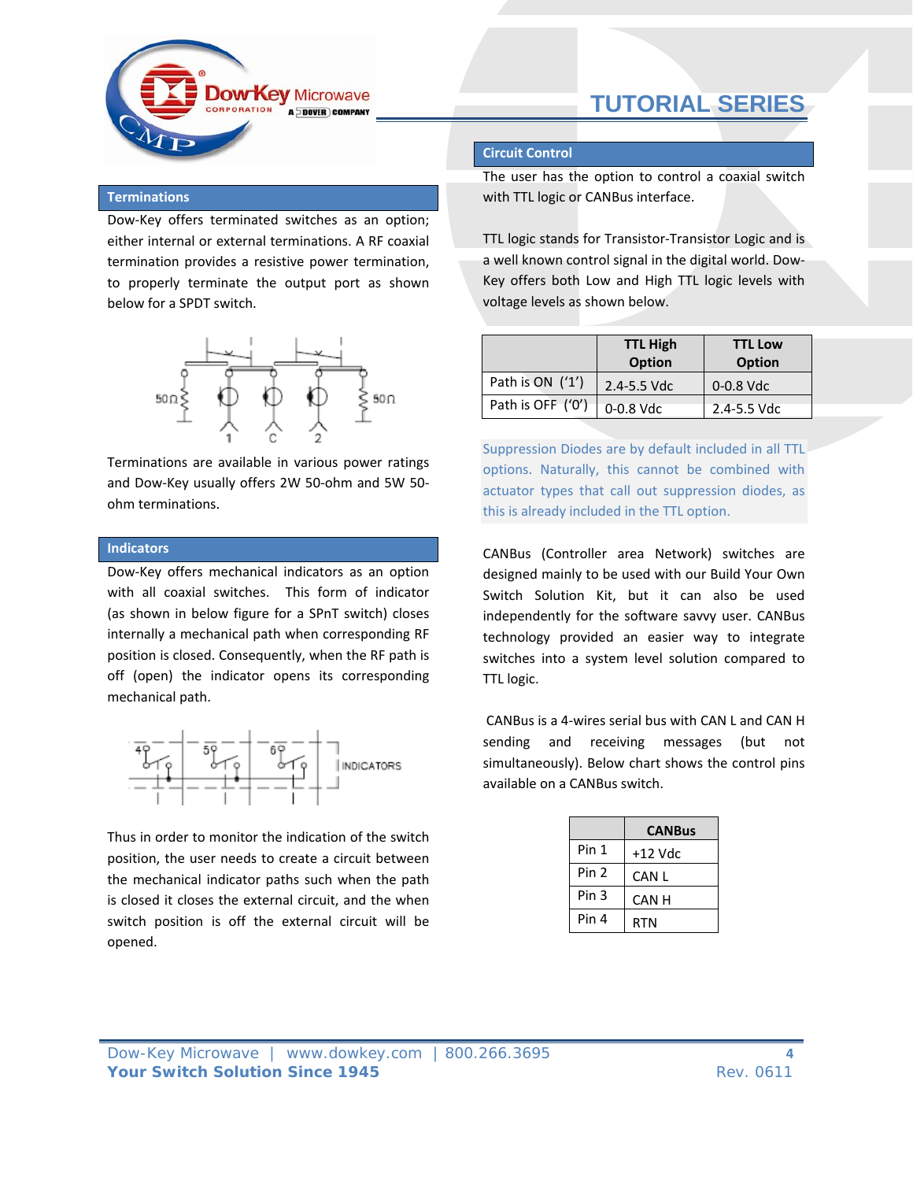

## **Terminations**

Dow‐Key offers terminated switches as an option; either internal or external terminations. A RF coaxial termination provides a resistive power termination, to properly terminate the output port as shown below for a SPDT switch.



Terminations are available in various power ratings and Dow‐Key usually offers 2W 50‐ohm and 5W 50‐ ohm terminations.

### **Indicators**

Dow‐Key offers mechanical indicators as an option with all coaxial switches. This form of indicator (as shown in below figure for a SPnT switch) closes internally a mechanical path when corresponding RF position is closed. Consequently, when the RF path is off (open) the indicator opens its corresponding mechanical path.



Thus in order to monitor the indication of the switch position, the user needs to create a circuit between the mechanical indicator paths such when the path is closed it closes the external circuit, and the when switch position is off the external circuit will be opened.

### **Circuit Control**

The user has the option to control a coaxial switch with TTL logic or CANBus interface.

TTL logic stands for Transistor-Transistor Logic and is a well known control signal in the digital world. Dow‐ Key offers both Low and High TTL logic levels with voltage levels as shown below.

|                   | <b>TTL High</b><br><b>Option</b> | <b>TTL Low</b><br><b>Option</b> |
|-------------------|----------------------------------|---------------------------------|
| Path is $ON('1')$ | $2.4 - 5.5$ Vdc                  | $0-0.8$ Vdc                     |
| Path is OFF ('0') | 0-0.8 Vdc                        | $2.4 - 5.5$ Vdc                 |

Suppression Diodes are by default included in all TTL options. Naturally, this cannot be combined with actuator types that call out suppression diodes, as this is already included in the TTL option.

CANBus (Controller area Network) switches are designed mainly to be used with our Build Your Own Switch Solution Kit, but it can also be used independently for the software savvy user. CANBus technology provided an easier way to integrate switches into a system level solution compared to TTL logic.

CANBus is a 4‐wires serial bus with CAN L and CAN H sending and receiving messages (but not simultaneously). Below chart shows the control pins available on a CANBus switch.

|       | <b>CANBus</b> |
|-------|---------------|
| Pin 1 | $+12$ Vdc     |
| Pin 2 | CAN L         |
| Pin 3 | CAN H         |
| Pin 4 | RTN           |